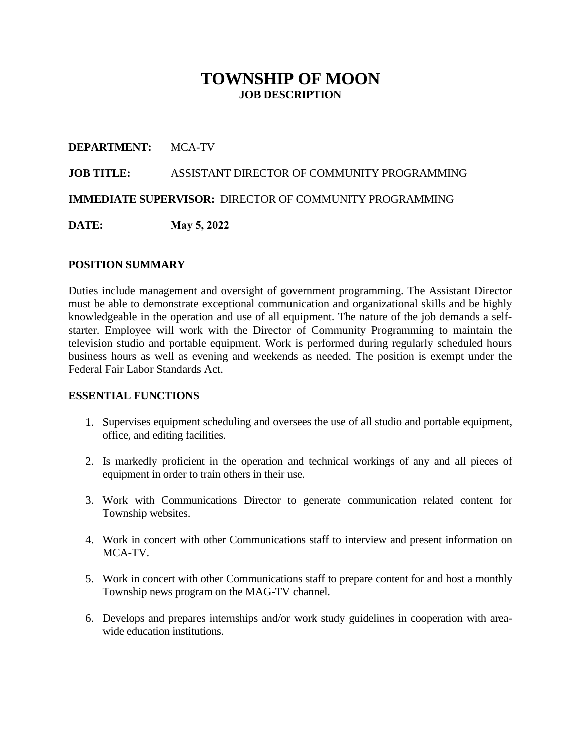# **TOWNSHIP OF MOON JOB DESCRIPTION**

#### **DEPARTMENT:** MCA-TV

#### **JOB TITLE:** ASSISTANT DIRECTOR OF COMMUNITY PROGRAMMING

**IMMEDIATE SUPERVISOR:** DIRECTOR OF COMMUNITY PROGRAMMING

**DATE: May 5, 2022**

#### **POSITION SUMMARY**

Duties include management and oversight of government programming. The Assistant Director must be able to demonstrate exceptional communication and organizational skills and be highly knowledgeable in the operation and use of all equipment. The nature of the job demands a selfstarter. Employee will work with the Director of Community Programming to maintain the television studio and portable equipment. Work is performed during regularly scheduled hours business hours as well as evening and weekends as needed. The position is exempt under the Federal Fair Labor Standards Act.

#### **ESSENTIAL FUNCTIONS**

- 1. Supervises equipment scheduling and oversees the use of all studio and portable equipment, office, and editing facilities.
- 2. Is markedly proficient in the operation and technical workings of any and all pieces of equipment in order to train others in their use.
- 3. Work with Communications Director to generate communication related content for Township websites.
- 4. Work in concert with other Communications staff to interview and present information on MCA-TV.
- 5. Work in concert with other Communications staff to prepare content for and host a monthly Township news program on the MAG-TV channel.
- 6. Develops and prepares internships and/or work study guidelines in cooperation with areawide education institutions.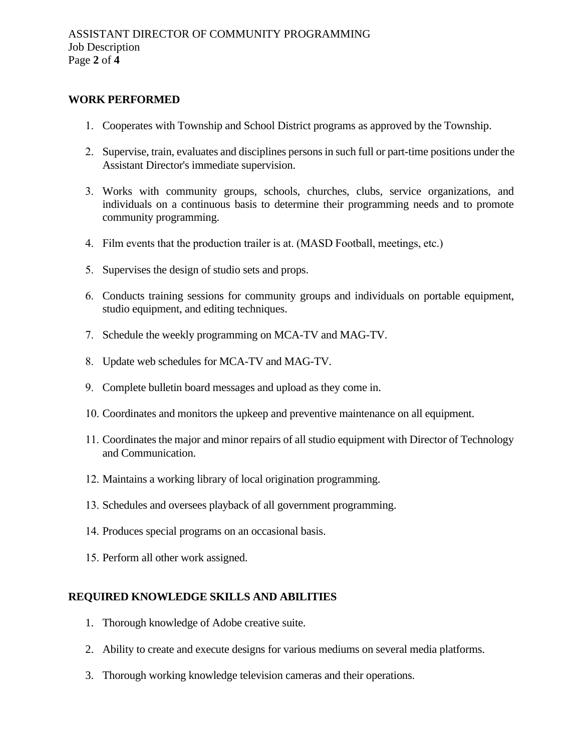#### **WORK PERFORMED**

- 1. Cooperates with Township and School District programs as approved by the Township.
- 2. Supervise, train, evaluates and disciplines personsin such full or part-time positions under the Assistant Director's immediate supervision.
- 3. Works with community groups, schools, churches, clubs, service organizations, and individuals on a continuous basis to determine their programming needs and to promote community programming.
- 4. Film events that the production trailer is at. (MASD Football, meetings, etc.)
- 5. Supervises the design of studio sets and props.
- 6. Conducts training sessions for community groups and individuals on portable equipment, studio equipment, and editing techniques.
- 7. Schedule the weekly programming on MCA-TV and MAG-TV.
- 8. Update web schedules for MCA-TV and MAG-TV.
- 9. Complete bulletin board messages and upload as they come in.
- 10. Coordinates and monitors the upkeep and preventive maintenance on all equipment.
- 11. Coordinates the major and minor repairs of all studio equipment with Director of Technology and Communication.
- 12. Maintains a working library of local origination programming.
- 13. Schedules and oversees playback of all government programming.
- 14. Produces special programs on an occasional basis.
- 15. Perform all other work assigned.

#### **REQUIRED KNOWLEDGE SKILLS AND ABILITIES**

- 1. Thorough knowledge of Adobe creative suite.
- 2. Ability to create and execute designs for various mediums on several media platforms.
- 3. Thorough working knowledge television cameras and their operations.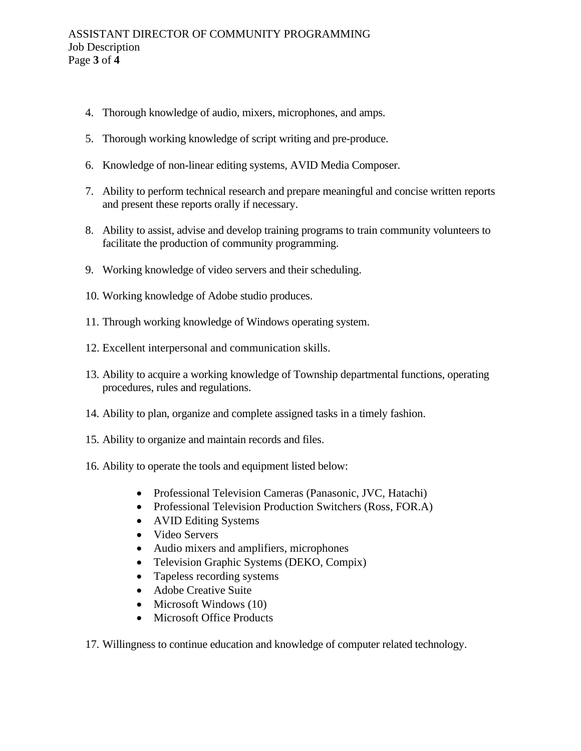- 4. Thorough knowledge of audio, mixers, microphones, and amps.
- 5. Thorough working knowledge of script writing and pre-produce.
- 6. Knowledge of non-linear editing systems, AVID Media Composer.
- 7. Ability to perform technical research and prepare meaningful and concise written reports and present these reports orally if necessary.
- 8. Ability to assist, advise and develop training programs to train community volunteers to facilitate the production of community programming.
- 9. Working knowledge of video servers and their scheduling.
- 10. Working knowledge of Adobe studio produces.
- 11. Through working knowledge of Windows operating system.
- 12. Excellent interpersonal and communication skills.
- 13. Ability to acquire a working knowledge of Township departmental functions, operating procedures, rules and regulations.
- 14. Ability to plan, organize and complete assigned tasks in a timely fashion.
- 15. Ability to organize and maintain records and files.
- 16. Ability to operate the tools and equipment listed below:
	- Professional Television Cameras (Panasonic, JVC, Hatachi)
	- Professional Television Production Switchers (Ross, FOR.A)
	- AVID Editing Systems
	- Video Servers
	- Audio mixers and amplifiers, microphones
	- Television Graphic Systems (DEKO, Compix)
	- Tapeless recording systems
	- Adobe Creative Suite
	- Microsoft Windows (10)
	- Microsoft Office Products
- 17. Willingness to continue education and knowledge of computer related technology.